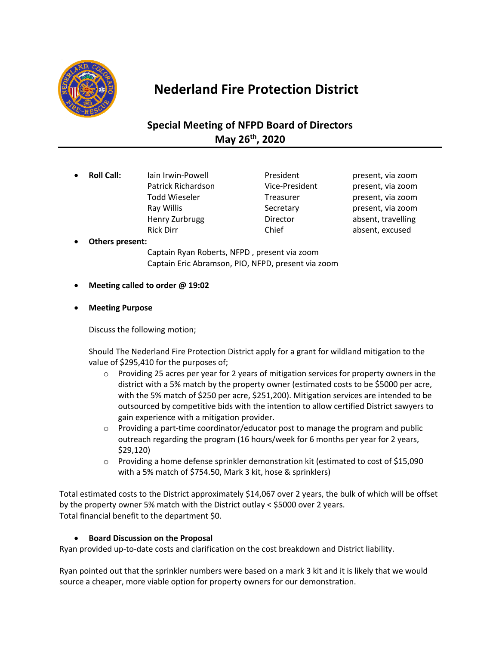

# **Nederland Fire Protection District**

## **Special Meeting of NFPD Board of Directors May 26th, 2020**

**Roll Call:** Iain Irwin-Powell President present, via zoom Patrick Richardson Vice-President present, via zoom Todd Wieseler Treasurer Freasurer present, via zoom Ray Willis **Secretary Ray Willis** Secretary **present**, via zoom Henry Zurbrugg **Director Director** absent, travelling Rick Dirr **Chief** Chief absent, excused

• **Others present:**

Captain Ryan Roberts, NFPD , present via zoom Captain Eric Abramson, PIO, NFPD, present via zoom

- **Meeting called to order @ 19:02**
- **Meeting Purpose**

Discuss the following motion;

Should The Nederland Fire Protection District apply for a grant for wildland mitigation to the value of \$295,410 for the purposes of;

- $\circ$  Providing 25 acres per year for 2 years of mitigation services for property owners in the district with a 5% match by the property owner (estimated costs to be \$5000 per acre, with the 5% match of \$250 per acre, \$251,200). Mitigation services are intended to be outsourced by competitive bids with the intention to allow certified District sawyers to gain experience with a mitigation provider.
- $\circ$  Providing a part-time coordinator/educator post to manage the program and public outreach regarding the program (16 hours/week for 6 months per year for 2 years, \$29,120)
- o Providing a home defense sprinkler demonstration kit (estimated to cost of \$15,090 with a 5% match of \$754.50, Mark 3 kit, hose & sprinklers)

Total estimated costs to the District approximately \$14,067 over 2 years, the bulk of which will be offset by the property owner 5% match with the District outlay < \$5000 over 2 years. Total financial benefit to the department \$0.

### • **Board Discussion on the Proposal**

Ryan provided up-to-date costs and clarification on the cost breakdown and District liability.

Ryan pointed out that the sprinkler numbers were based on a mark 3 kit and it is likely that we would source a cheaper, more viable option for property owners for our demonstration.